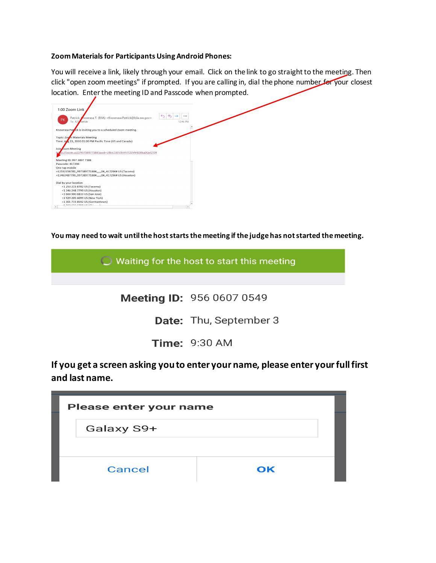## **Zoom Materials for Participants Using Android Phones:**

You will receive a link, likely through your email. Click on the link to go straight to the meeting. Then click "open zoom meetings" if prompted. If you are calling in, dial the phone number for your closest location. Enter the meeting ID and Passcode when prompted.

| 1:00 Zoom Link                                                                                                            |                                      |
|---------------------------------------------------------------------------------------------------------------------------|--------------------------------------|
| Patrick, Inowrasa T. (BIIA) <knowrasa.patrick@biia.wa.qov><br/><b>PK</b><br/>To KT Patrick</knowrasa.patrick@biia.wa.qov> | $\leftarrow$<br>$\cdots$<br>12:46 PM |
| Knowrasa Pat Ick is inviting you to a scheduled Zoom meeting.                                                             |                                      |
| Topic: Zog <sub>m</sub> Materials Meeting                                                                                 |                                      |
| Time: A <sub>2</sub> 8 23, 2020 01:00 PM Pacific Time (US and Canada)                                                     |                                      |
|                                                                                                                           |                                      |
| Join com Meeting                                                                                                          |                                      |
| bs://zoom.us/j/99738977188?pwd=UlBvL3JEV3hVVTl2ZVN4ZXl6a0QyQT09                                                           |                                      |
| Meeting ID: 997 3897 7188                                                                                                 |                                      |
| Passcode: 417296                                                                                                          |                                      |
| One tap mobile                                                                                                            |                                      |
| +12532158782,,99738977188#,,,,,,0#,,417296# US (Tacoma)                                                                   |                                      |
| +13462487799,,99738977188#,,,,,,0#,,417296# US (Houston)                                                                  |                                      |
| Dial by your location                                                                                                     |                                      |
| +1 253 215 8782 US (Tacoma)                                                                                               |                                      |
| +1 346 248 7799 US (Houston)                                                                                              |                                      |
| +1 669 900 6833 US (San Jose)                                                                                             |                                      |
| +1 929 205 6099 US (New York)                                                                                             |                                      |
| +1 301 715 8592 US (Germantown)                                                                                           |                                      |
| A GAS CAC CROSSIC ICI<br>H.                                                                                               | $\,$                                 |
|                                                                                                                           |                                      |

**You may need to wait until the host starts the meeting if the judge has not started the meeting.** 

 $\bigcirc$  Waiting for the host to start this meeting

Meeting ID: 956 0607 0549

Date: Thu, September 3

**Time: 9:30 AM** 

**If you get a screen asking you to enter your name, please enter your full first and last name.** 

| <b>Please enter your name</b> |    |  |  |
|-------------------------------|----|--|--|
| Galaxy S9+                    |    |  |  |
|                               |    |  |  |
| <b>Cancel</b>                 | OK |  |  |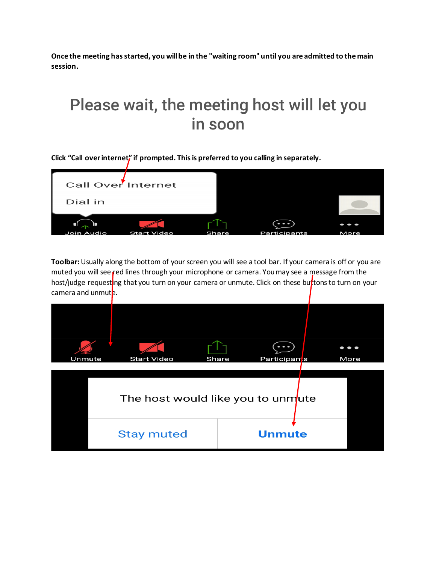**Once the meeting has started, you will be in the "waiting room" until you are admitted to the main session.** 

## Please wait, the meeting host will let you in soon

**Click "Call overinternet" if prompted. This is preferred to you calling in separately.** 



**Toolbar:** Usually along the bottom of your screen you will see a tool bar. If your camera is off or you are muted you will see red lines through your microphone or camera. You may see a message from the host/judge requesting that you turn on your camera or unmute. Click on these buttons to turn on your camera and unmut<sub>e</sub>.

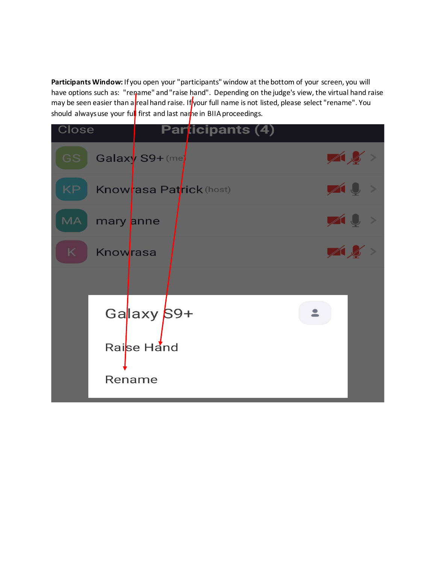**Participants Window:** If you open your "participants" window at the bottom of your screen, you will have options such as: "rename" and "raise hand". Depending on the judge's view, the virtual hand raise may be seen easier than a real hand raise. If your full name is not listed, please select "rename". You should always use your full first and last name in BIIA proceedings.

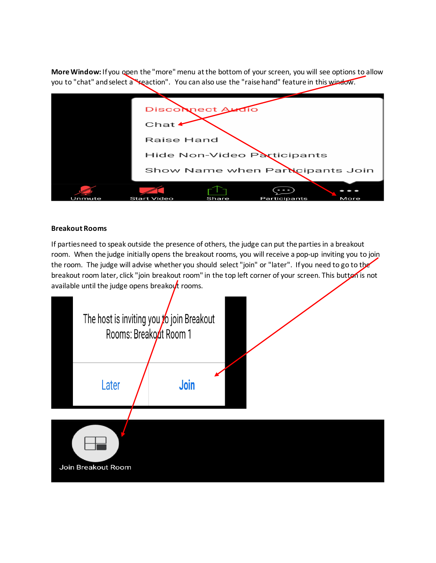**More Window:** If you open the "more" menu at the bottom of your screen, you will see options to allow you to "chat" and select a reaction". You can also use the "raise hand" feature in this window.

|        | Disconnect Audio                             |
|--------|----------------------------------------------|
|        | Chat                                         |
|        | Raise Hand                                   |
|        | Hide Non-Video Participants                  |
|        | Show Name when Participants Join             |
|        |                                              |
|        |                                              |
| Unmute | Share<br>Start Video<br>Participants<br>More |

## **Breakout Rooms**

If parties need to speak outside the presence of others, the judge can put the parties in a breakout room. When the judge initially opens the breakout rooms, you will receive a pop-up inviting you to join the room. The judge will advise whether you should select "join" or "later". If you need to go to the breakout room later, click "join breakout room" in the top left corner of your screen. This button is not available until the judge opens breakout rooms.